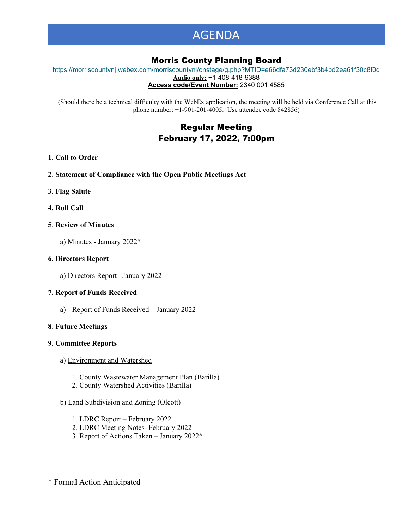# AGENDA

# Morris County Planning Board

[https://morriscountynj.webex.com/morriscountynj/onstage/g.php?MTID=e66dfa73d230ebf3b4bd2ea61f30c8f0d](https://gcc02.safelinks.protection.outlook.com/?url=https%3A%2F%2Fmorriscountynj.webex.com%2Fmorriscountynj%2Fonstage%2Fg.php%3FMTID%3De66dfa73d230ebf3b4bd2ea61f30c8f0d&data=04%7C01%7Cvmichelin%40co.morris.nj.us%7Cda9d1cd444ea4001768c08d9e67a07ef%7Cec2ce8c138394008b949e2b17cfa906d%7C0%7C0%7C637794234053852541%7CUnknown%7CTWFpbGZsb3d8eyJWIjoiMC4wLjAwMDAiLCJQIjoiV2luMzIiLCJBTiI6Ik1haWwiLCJXVCI6Mn0%3D%7C1000&sdata=GbX67f8kkecjrpBZ6DcZhXiz%2B3Hr5eN8MTvNh95hpHw%3D&reserved=0) **Audio only:** +1-408-418-9388

**Access code/Event Number:** 2340 001 4585

(Should there be a technical difficulty with the WebEx application, the meeting will be held via Conference Call at this phone number: +1-901-201-4005. Use attendee code 842856)

# Regular Meeting February 17, 2022, 7:00pm

### **1. Call to Order**

- **2**. **Statement of Compliance with the Open Public Meetings Act**
- **3. Flag Salute**
- **4. Roll Call**

# **5**. **Review of Minutes**

a) Minutes - January 2022\*

# **6. Directors Report**

a) Directors Report –January 2022

# **7. Report of Funds Received**

a) Report of Funds Received – January 2022

### **8**. **Future Meetings**

### **9. Committee Reports**

- a) Environment and Watershed
	- 1. County Wastewater Management Plan (Barilla)
	- 2. County Watershed Activities (Barilla)

# b) Land Subdivision and Zoning (Olcott)

- 1. LDRC Report February 2022
- 2. LDRC Meeting Notes- February 2022
- 3. Report of Actions Taken January 2022\*

\* Formal Action Anticipated